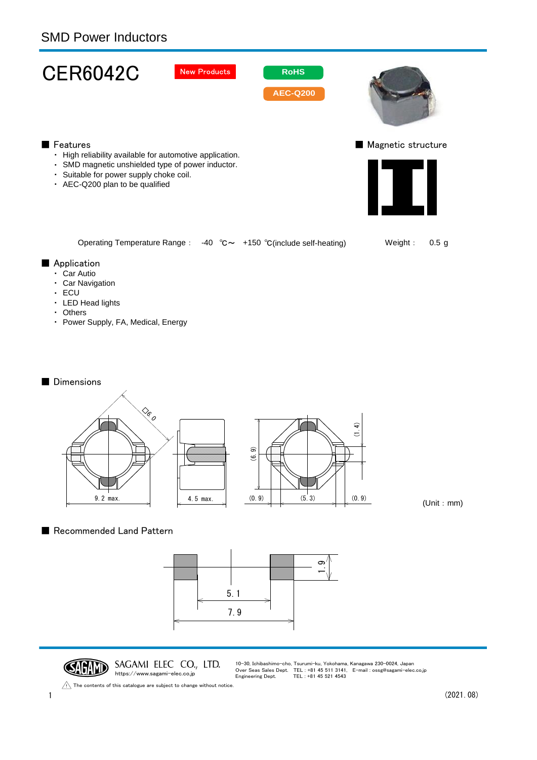

- ・ Car Navigation
- 
- ・ ECU
- ・ LED Head lights
- ・ Others
- ・ Power Supply, FA, Medical, Energy

## ■ Dimensions



(Unit:mm)

## ■ Recommended Land Pattern





10-30, Ichibashimo-cho, Tsurumi-ku, Yokohama, Kanagawa 230-0024, Japan Over Seas Sales Dept. TEL : +81 45 511 3141, E-mail : ossg@sagami-elec.co.jp Engineering Dept. TEL : +81 45 521 4543

The contents of this catalogue are subject to change without notice.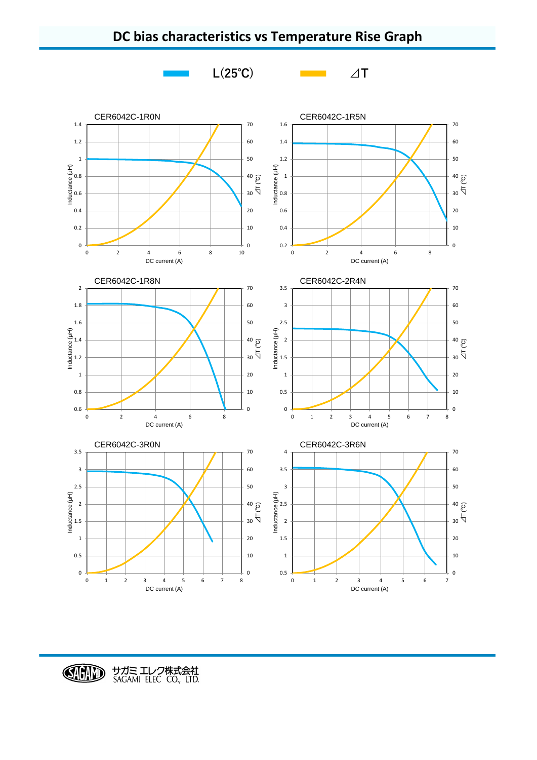

DC current (A)

## **DC bias characteristics vs Temperature Rise Graph**

CHID サガミ エレク株式会社<br>SAGAMI ELEC CO., LTD.

DC current (A)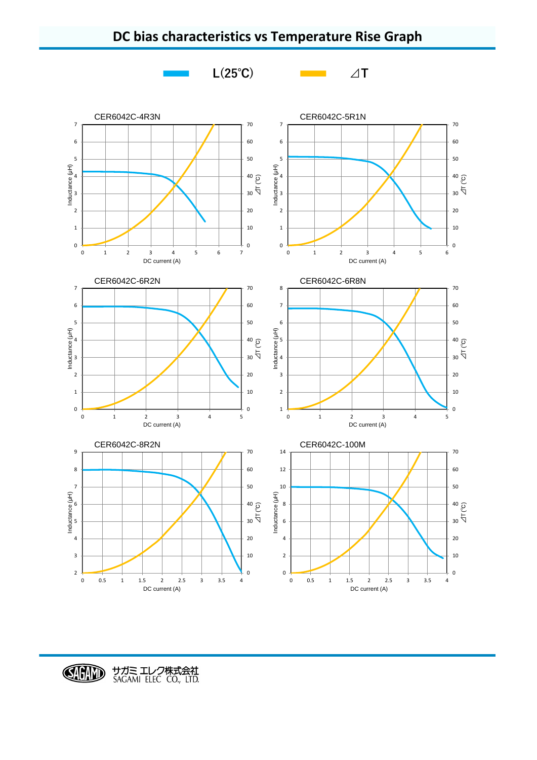

## **DC bias characteristics vs Temperature Rise Graph**

CHAND サガミ エレク株式会社<br>SAGAMI ELEC CO., LTD.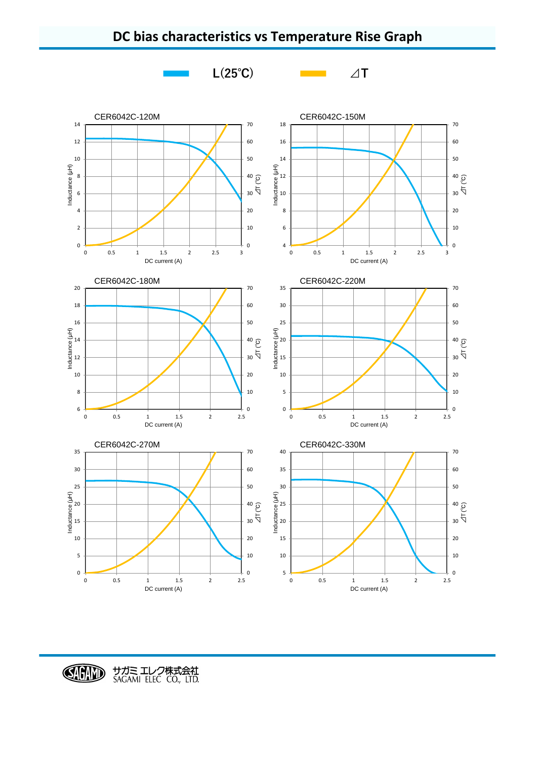

**DC bias characteristics vs Temperature Rise Graph**

CHID サガミ エレク株式会社<br>SAGAMI ELEC CO., LTD.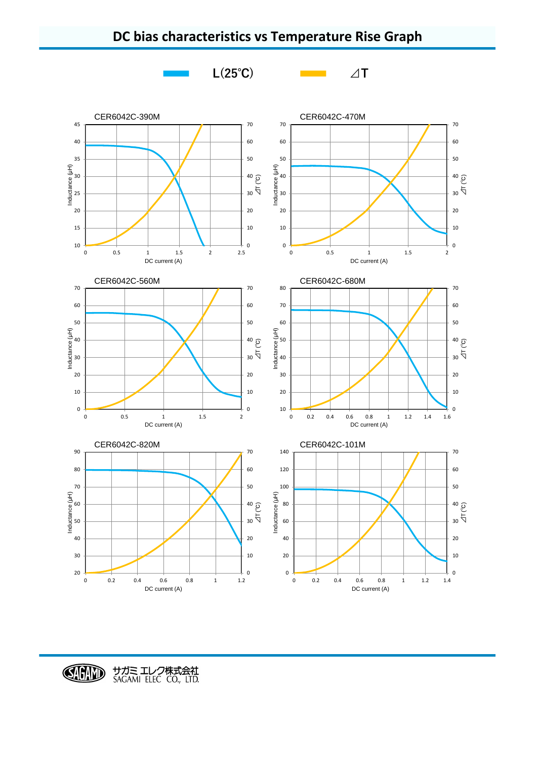



CHID サガミ エレク株式会社<br>SAGAMI ELEC CO., LTD.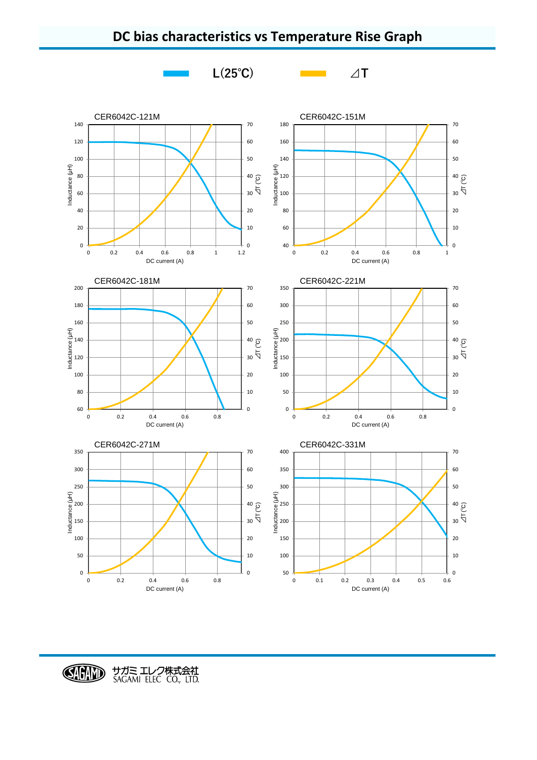



CHID サガミ エレク株式会社<br>SAGAMI ELEC CO., LTD.